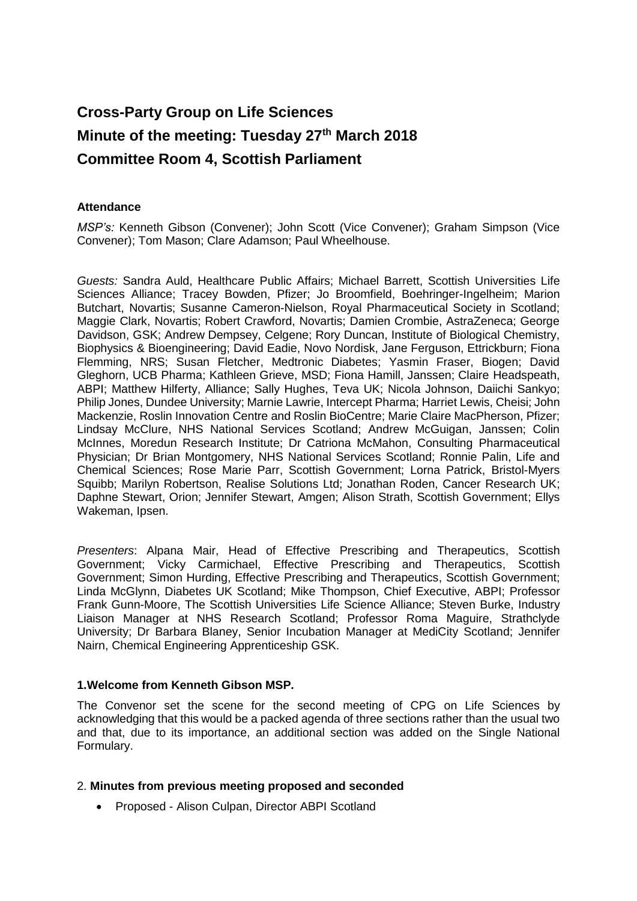# **Cross-Party Group on Life Sciences Minute of the meeting: Tuesday 27th March 2018 Committee Room 4, Scottish Parliament**

## **Attendance**

*MSP's:* Kenneth Gibson (Convener); John Scott (Vice Convener); Graham Simpson (Vice Convener); Tom Mason; Clare Adamson; Paul Wheelhouse.

*Guests:* Sandra Auld, Healthcare Public Affairs; Michael Barrett, Scottish Universities Life Sciences Alliance; Tracey Bowden, Pfizer; Jo Broomfield, Boehringer-Ingelheim; Marion Butchart, Novartis; Susanne Cameron-Nielson, Royal Pharmaceutical Society in Scotland; Maggie Clark, Novartis; Robert Crawford, Novartis; Damien Crombie, AstraZeneca; George Davidson, GSK; Andrew Dempsey, Celgene; Rory Duncan, Institute of Biological Chemistry, Biophysics & Bioengineering; David Eadie, Novo Nordisk, Jane Ferguson, Ettrickburn; Fiona Flemming, NRS; Susan Fletcher, Medtronic Diabetes; Yasmin Fraser, Biogen; David Gleghorn, UCB Pharma; Kathleen Grieve, MSD; Fiona Hamill, Janssen; Claire Headspeath, ABPI; Matthew Hilferty, Alliance; Sally Hughes, Teva UK; Nicola Johnson, Daiichi Sankyo; Philip Jones, Dundee University; Marnie Lawrie, Intercept Pharma; Harriet Lewis, Cheisi; John Mackenzie, Roslin Innovation Centre and Roslin BioCentre; Marie Claire MacPherson, Pfizer; Lindsay McClure, NHS National Services Scotland; Andrew McGuigan, Janssen; Colin McInnes, Moredun Research Institute; Dr Catriona McMahon, Consulting Pharmaceutical Physician; Dr Brian Montgomery, NHS National Services Scotland; Ronnie Palin, Life and Chemical Sciences; Rose Marie Parr, Scottish Government; Lorna Patrick, Bristol-Myers Squibb; Marilyn Robertson, Realise Solutions Ltd; Jonathan Roden, Cancer Research UK; Daphne Stewart, Orion; Jennifer Stewart, Amgen; Alison Strath, Scottish Government; Ellys Wakeman, Ipsen.

*Presenters*: Alpana Mair, Head of Effective Prescribing and Therapeutics, Scottish Government; Vicky Carmichael, Effective Prescribing and Therapeutics, Scottish Government; Simon Hurding, Effective Prescribing and Therapeutics, Scottish Government; Linda McGlynn, Diabetes UK Scotland; Mike Thompson, Chief Executive, ABPI; Professor Frank Gunn-Moore, The Scottish Universities Life Science Alliance; Steven Burke, Industry Liaison Manager at NHS Research Scotland; Professor Roma Maguire, Strathclyde University; Dr Barbara Blaney, Senior Incubation Manager at MediCity Scotland; Jennifer Nairn, Chemical Engineering Apprenticeship GSK.

## **1.Welcome from Kenneth Gibson MSP.**

The Convenor set the scene for the second meeting of CPG on Life Sciences by acknowledging that this would be a packed agenda of three sections rather than the usual two and that, due to its importance, an additional section was added on the Single National Formulary.

## 2. **Minutes from previous meeting proposed and seconded**

• Proposed - Alison Culpan, Director ABPI Scotland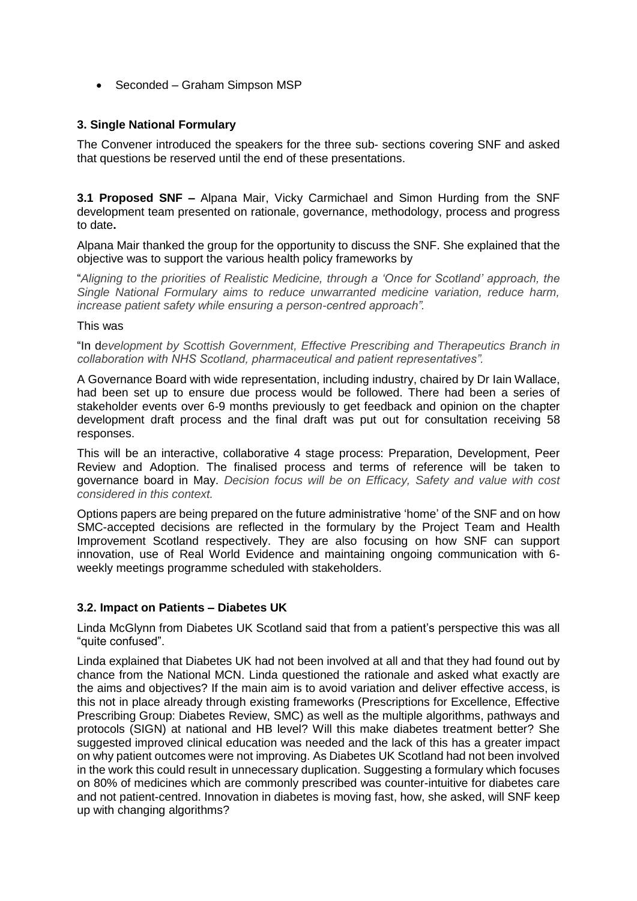• Seconded – Graham Simpson MSP

## **3. Single National Formulary**

The Convener introduced the speakers for the three sub- sections covering SNF and asked that questions be reserved until the end of these presentations.

**3.1 Proposed SNF –** Alpana Mair, Vicky Carmichael and Simon Hurding from the SNF development team presented on rationale, governance, methodology, process and progress to date**.**

Alpana Mair thanked the group for the opportunity to discuss the SNF. She explained that the objective was to support the various health policy frameworks by

"*Aligning to the priorities of Realistic Medicine, through a 'Once for Scotland' approach, the Single National Formulary aims to reduce unwarranted medicine variation, reduce harm, increase patient safety while ensuring a person-centred approach".*

#### This was

"In d*evelopment by Scottish Government, Effective Prescribing and Therapeutics Branch in collaboration with NHS Scotland, pharmaceutical and patient representatives".*

A Governance Board with wide representation, including industry, chaired by Dr Iain Wallace, had been set up to ensure due process would be followed. There had been a series of stakeholder events over 6-9 months previously to get feedback and opinion on the chapter development draft process and the final draft was put out for consultation receiving 58 responses.

This will be an interactive, collaborative 4 stage process: Preparation, Development, Peer Review and Adoption. The finalised process and terms of reference will be taken to governance board in May. *Decision focus will be on Efficacy, Safety and value with cost considered in this context.*

Options papers are being prepared on the future administrative 'home' of the SNF and on how SMC-accepted decisions are reflected in the formulary by the Project Team and Health Improvement Scotland respectively. They are also focusing on how SNF can support innovation, use of Real World Evidence and maintaining ongoing communication with 6 weekly meetings programme scheduled with stakeholders.

## **3.2. Impact on Patients – Diabetes UK**

Linda McGlynn from Diabetes UK Scotland said that from a patient's perspective this was all "quite confused".

Linda explained that Diabetes UK had not been involved at all and that they had found out by chance from the National MCN. Linda questioned the rationale and asked what exactly are the aims and objectives? If the main aim is to avoid variation and deliver effective access, is this not in place already through existing frameworks (Prescriptions for Excellence, Effective Prescribing Group: Diabetes Review, SMC) as well as the multiple algorithms, pathways and protocols (SIGN) at national and HB level? Will this make diabetes treatment better? She suggested improved clinical education was needed and the lack of this has a greater impact on why patient outcomes were not improving. As Diabetes UK Scotland had not been involved in the work this could result in unnecessary duplication. Suggesting a formulary which focuses on 80% of medicines which are commonly prescribed was counter-intuitive for diabetes care and not patient-centred. Innovation in diabetes is moving fast, how, she asked, will SNF keep up with changing algorithms?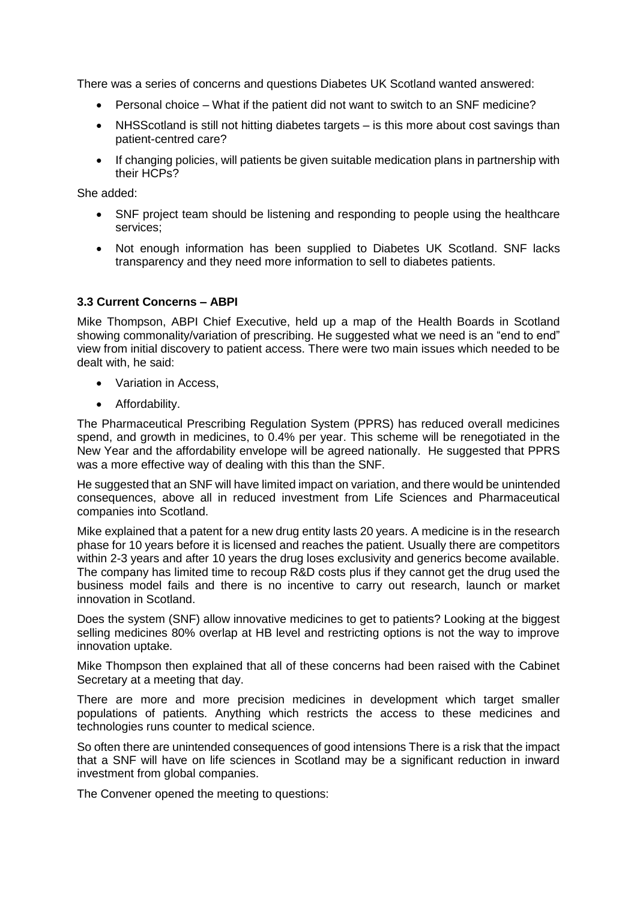There was a series of concerns and questions Diabetes UK Scotland wanted answered:

- Personal choice What if the patient did not want to switch to an SNF medicine?
- NHSS cotland is still not hitting diabetes targets is this more about cost savings than patient-centred care?
- If changing policies, will patients be given suitable medication plans in partnership with their HCPs?

She added:

- SNF project team should be listening and responding to people using the healthcare services;
- Not enough information has been supplied to Diabetes UK Scotland. SNF lacks transparency and they need more information to sell to diabetes patients.

## **3.3 Current Concerns – ABPI**

Mike Thompson, ABPI Chief Executive, held up a map of the Health Boards in Scotland showing commonality/variation of prescribing. He suggested what we need is an "end to end" view from initial discovery to patient access. There were two main issues which needed to be dealt with, he said:

- Variation in Access,
- Affordability.

The Pharmaceutical Prescribing Regulation System (PPRS) has reduced overall medicines spend, and growth in medicines, to 0.4% per year. This scheme will be renegotiated in the New Year and the affordability envelope will be agreed nationally. He suggested that PPRS was a more effective way of dealing with this than the SNF.

He suggested that an SNF will have limited impact on variation, and there would be unintended consequences, above all in reduced investment from Life Sciences and Pharmaceutical companies into Scotland.

Mike explained that a patent for a new drug entity lasts 20 years. A medicine is in the research phase for 10 years before it is licensed and reaches the patient. Usually there are competitors within 2-3 years and after 10 years the drug loses exclusivity and generics become available. The company has limited time to recoup R&D costs plus if they cannot get the drug used the business model fails and there is no incentive to carry out research, launch or market innovation in Scotland.

Does the system (SNF) allow innovative medicines to get to patients? Looking at the biggest selling medicines 80% overlap at HB level and restricting options is not the way to improve innovation uptake.

Mike Thompson then explained that all of these concerns had been raised with the Cabinet Secretary at a meeting that day.

There are more and more precision medicines in development which target smaller populations of patients. Anything which restricts the access to these medicines and technologies runs counter to medical science.

So often there are unintended consequences of good intensions There is a risk that the impact that a SNF will have on life sciences in Scotland may be a significant reduction in inward investment from global companies.

The Convener opened the meeting to questions: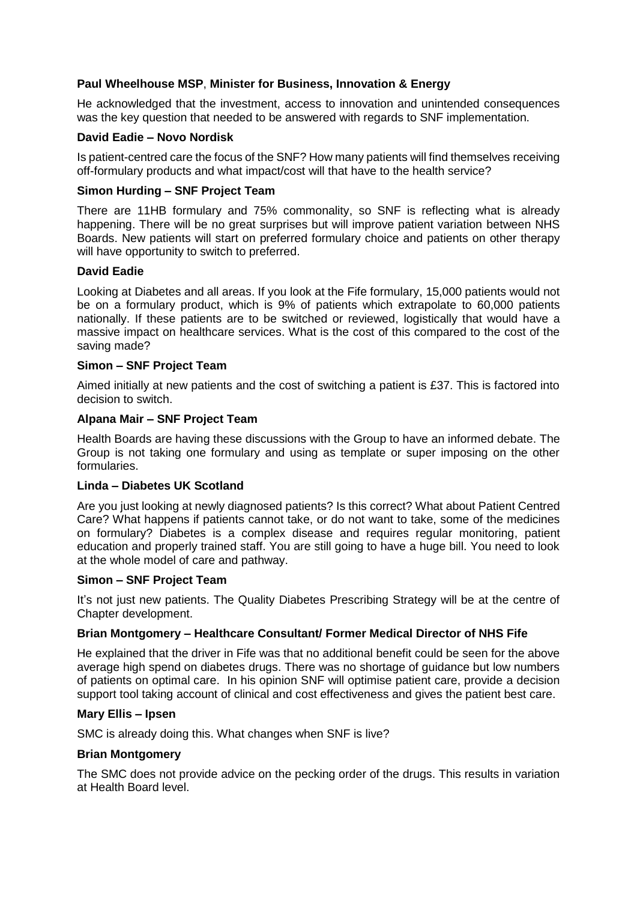## **Paul Wheelhouse MSP**, **Minister for Business, Innovation & Energy**

He acknowledged that the investment, access to innovation and unintended consequences was the key question that needed to be answered with regards to SNF implementation.

## **David Eadie – Novo Nordisk**

Is patient-centred care the focus of the SNF? How many patients will find themselves receiving off-formulary products and what impact/cost will that have to the health service?

### **Simon Hurding – SNF Project Team**

There are 11HB formulary and 75% commonality, so SNF is reflecting what is already happening. There will be no great surprises but will improve patient variation between NHS Boards. New patients will start on preferred formulary choice and patients on other therapy will have opportunity to switch to preferred.

#### **David Eadie**

Looking at Diabetes and all areas. If you look at the Fife formulary, 15,000 patients would not be on a formulary product, which is 9% of patients which extrapolate to 60,000 patients nationally. If these patients are to be switched or reviewed, logistically that would have a massive impact on healthcare services. What is the cost of this compared to the cost of the saving made?

#### **Simon – SNF Project Team**

Aimed initially at new patients and the cost of switching a patient is £37. This is factored into decision to switch.

#### **Alpana Mair – SNF Project Team**

Health Boards are having these discussions with the Group to have an informed debate. The Group is not taking one formulary and using as template or super imposing on the other formularies.

### **Linda – Diabetes UK Scotland**

Are you just looking at newly diagnosed patients? Is this correct? What about Patient Centred Care? What happens if patients cannot take, or do not want to take, some of the medicines on formulary? Diabetes is a complex disease and requires regular monitoring, patient education and properly trained staff. You are still going to have a huge bill. You need to look at the whole model of care and pathway.

#### **Simon – SNF Project Team**

It's not just new patients. The Quality Diabetes Prescribing Strategy will be at the centre of Chapter development.

## **Brian Montgomery – Healthcare Consultant/ Former Medical Director of NHS Fife**

He explained that the driver in Fife was that no additional benefit could be seen for the above average high spend on diabetes drugs. There was no shortage of guidance but low numbers of patients on optimal care. In his opinion SNF will optimise patient care, provide a decision support tool taking account of clinical and cost effectiveness and gives the patient best care.

#### **Mary Ellis – Ipsen**

SMC is already doing this. What changes when SNF is live?

#### **Brian Montgomery**

The SMC does not provide advice on the pecking order of the drugs. This results in variation at Health Board level.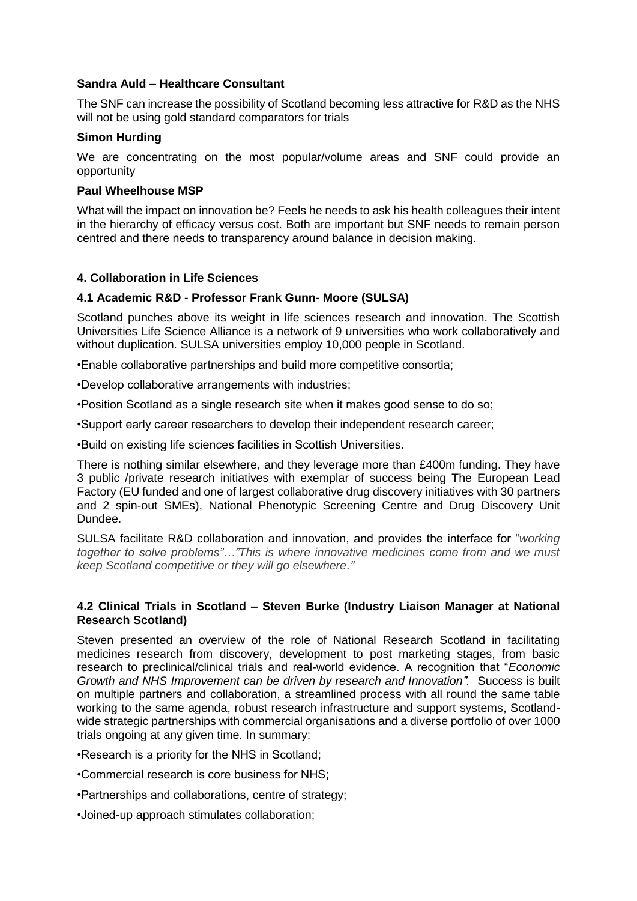### **Sandra Auld – Healthcare Consultant**

The SNF can increase the possibility of Scotland becoming less attractive for R&D as the NHS will not be using gold standard comparators for trials

### **Simon Hurding**

We are concentrating on the most popular/volume areas and SNF could provide an opportunity

### **Paul Wheelhouse MSP**

What will the impact on innovation be? Feels he needs to ask his health colleagues their intent in the hierarchy of efficacy versus cost. Both are important but SNF needs to remain person centred and there needs to transparency around balance in decision making.

## **4. Collaboration in Life Sciences**

#### **4.1 Academic R&D - Professor Frank Gunn- Moore (SULSA)**

Scotland punches above its weight in life sciences research and innovation. The Scottish Universities Life Science Alliance is a network of 9 universities who work collaboratively and without duplication. SULSA universities employ 10,000 people in Scotland.

•Enable collaborative partnerships and build more competitive consortia;

•Develop collaborative arrangements with industries;

•Position Scotland as a single research site when it makes good sense to do so;

•Support early career researchers to develop their independent research career;

•Build on existing life sciences facilities in Scottish Universities.

There is nothing similar elsewhere, and they leverage more than £400m funding. They have 3 public /private research initiatives with exemplar of success being The European Lead Factory (EU funded and one of largest collaborative drug discovery initiatives with 30 partners and 2 spin-out SMEs), National Phenotypic Screening Centre and Drug Discovery Unit Dundee.

SULSA facilitate R&D collaboration and innovation, and provides the interface for "*working together to solve problems"…"This is where innovative medicines come from and we must keep Scotland competitive or they will go elsewhere."*

#### **4.2 Clinical Trials in Scotland – Steven Burke (Industry Liaison Manager at National Research Scotland)**

Steven presented an overview of the role of National Research Scotland in facilitating medicines research from discovery, development to post marketing stages, from basic research to preclinical/clinical trials and real-world evidence. A recognition that "*Economic Growth and NHS Improvement can be driven by research and Innovation".* Success is built on multiple partners and collaboration, a streamlined process with all round the same table working to the same agenda, robust research infrastructure and support systems, Scotlandwide strategic partnerships with commercial organisations and a diverse portfolio of over 1000 trials ongoing at any given time. In summary:

•Research is a priority for the NHS in Scotland;

•Commercial research is core business for NHS;

•Partnerships and collaborations, centre of strategy;

•Joined-up approach stimulates collaboration;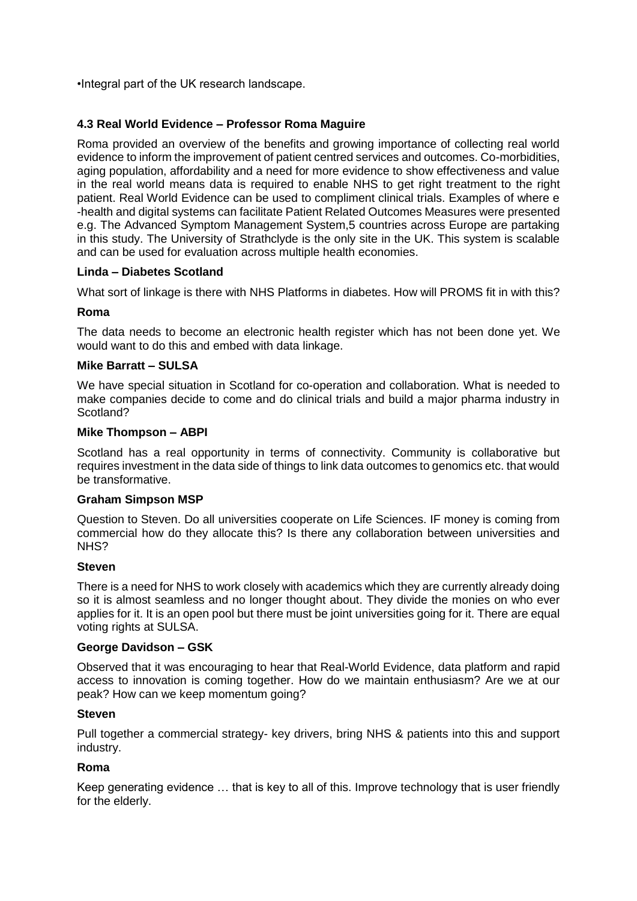•Integral part of the UK research landscape.

## **4.3 Real World Evidence – Professor Roma Maguire**

Roma provided an overview of the benefits and growing importance of collecting real world evidence to inform the improvement of patient centred services and outcomes. Co-morbidities, aging population, affordability and a need for more evidence to show effectiveness and value in the real world means data is required to enable NHS to get right treatment to the right patient. Real World Evidence can be used to compliment clinical trials. Examples of where e -health and digital systems can facilitate Patient Related Outcomes Measures were presented e.g. The Advanced Symptom Management System,5 countries across Europe are partaking in this study. The University of Strathclyde is the only site in the UK. This system is scalable and can be used for evaluation across multiple health economies.

#### **Linda – Diabetes Scotland**

What sort of linkage is there with NHS Platforms in diabetes. How will PROMS fit in with this?

#### **Roma**

The data needs to become an electronic health register which has not been done yet. We would want to do this and embed with data linkage.

#### **Mike Barratt – SULSA**

We have special situation in Scotland for co-operation and collaboration. What is needed to make companies decide to come and do clinical trials and build a major pharma industry in Scotland?

#### **Mike Thompson – ABPI**

Scotland has a real opportunity in terms of connectivity. Community is collaborative but requires investment in the data side of things to link data outcomes to genomics etc. that would be transformative.

#### **Graham Simpson MSP**

Question to Steven. Do all universities cooperate on Life Sciences. IF money is coming from commercial how do they allocate this? Is there any collaboration between universities and NHS?

#### **Steven**

There is a need for NHS to work closely with academics which they are currently already doing so it is almost seamless and no longer thought about. They divide the monies on who ever applies for it. It is an open pool but there must be joint universities going for it. There are equal voting rights at SULSA.

#### **George Davidson – GSK**

Observed that it was encouraging to hear that Real-World Evidence, data platform and rapid access to innovation is coming together. How do we maintain enthusiasm? Are we at our peak? How can we keep momentum going?

#### **Steven**

Pull together a commercial strategy- key drivers, bring NHS & patients into this and support industry.

#### **Roma**

Keep generating evidence … that is key to all of this. Improve technology that is user friendly for the elderly.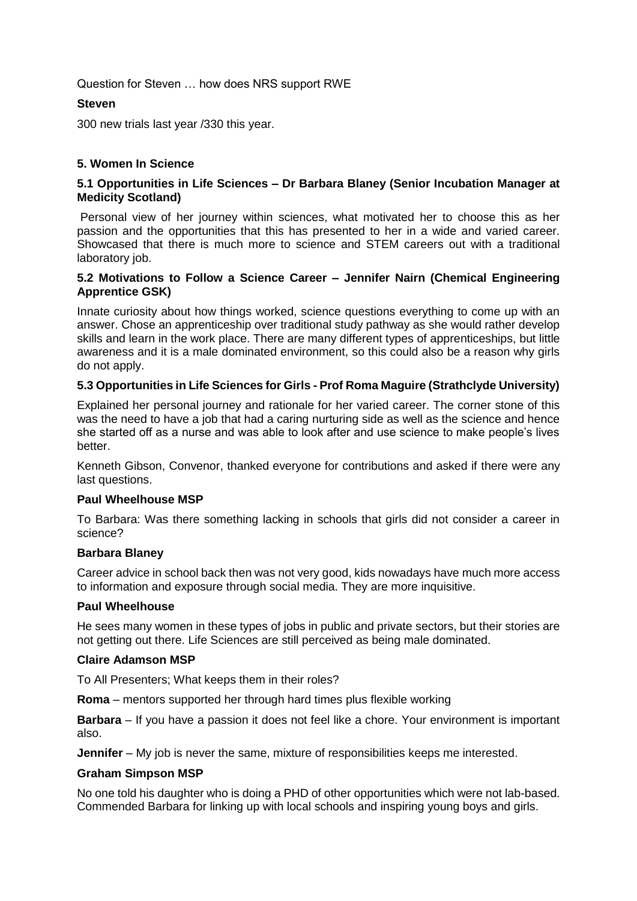Question for Steven … how does NRS support RWE

## **Steven**

300 new trials last year /330 this year.

## **5. Women In Science**

## **5.1 Opportunities in Life Sciences – Dr Barbara Blaney (Senior Incubation Manager at Medicity Scotland)**

Personal view of her journey within sciences, what motivated her to choose this as her passion and the opportunities that this has presented to her in a wide and varied career. Showcased that there is much more to science and STEM careers out with a traditional laboratory job.

## **5.2 Motivations to Follow a Science Career – Jennifer Nairn (Chemical Engineering Apprentice GSK)**

Innate curiosity about how things worked, science questions everything to come up with an answer. Chose an apprenticeship over traditional study pathway as she would rather develop skills and learn in the work place. There are many different types of apprenticeships, but little awareness and it is a male dominated environment, so this could also be a reason why girls do not apply.

## **5.3 Opportunities in Life Sciences for Girls - Prof Roma Maguire (Strathclyde University)**

Explained her personal journey and rationale for her varied career. The corner stone of this was the need to have a job that had a caring nurturing side as well as the science and hence she started off as a nurse and was able to look after and use science to make people's lives better.

Kenneth Gibson, Convenor, thanked everyone for contributions and asked if there were any last questions.

## **Paul Wheelhouse MSP**

To Barbara: Was there something lacking in schools that girls did not consider a career in science?

## **Barbara Blaney**

Career advice in school back then was not very good, kids nowadays have much more access to information and exposure through social media. They are more inquisitive.

#### **Paul Wheelhouse**

He sees many women in these types of jobs in public and private sectors, but their stories are not getting out there. Life Sciences are still perceived as being male dominated.

#### **Claire Adamson MSP**

To All Presenters; What keeps them in their roles?

**Roma** – mentors supported her through hard times plus flexible working

**Barbara** – If you have a passion it does not feel like a chore. Your environment is important also.

**Jennifer** – My job is never the same, mixture of responsibilities keeps me interested.

## **Graham Simpson MSP**

No one told his daughter who is doing a PHD of other opportunities which were not lab-based. Commended Barbara for linking up with local schools and inspiring young boys and girls.